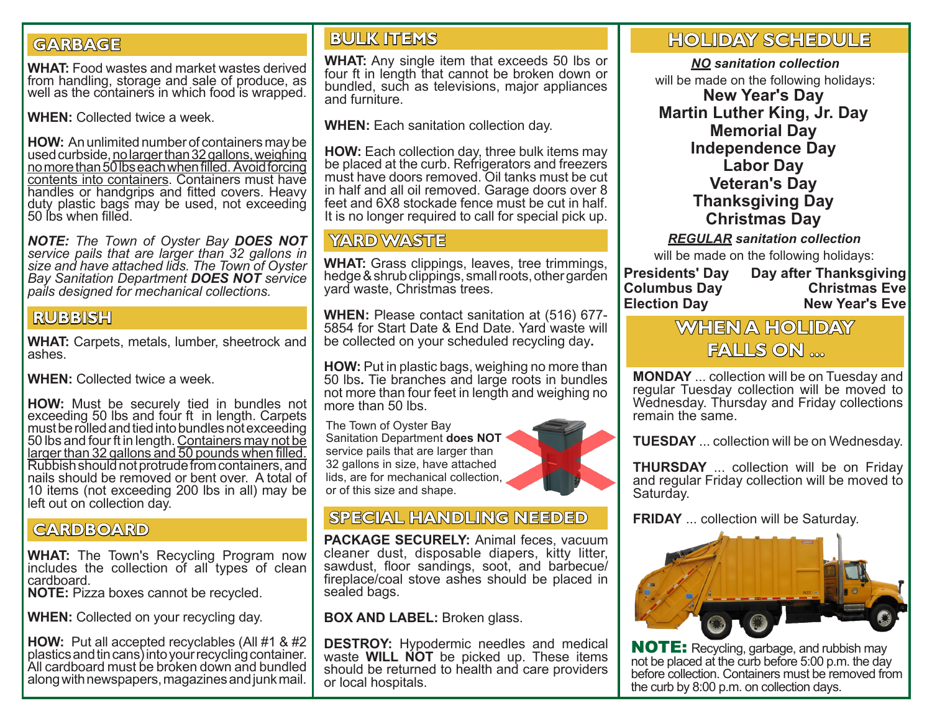# **GARBAGE**

**WHAT:** Food wastes and market wastes derived from handling, storage and sale of produce, as well as the containers in which food is wrapped.

**WHEN:** Collected twice a week.

**HOW:** An unlimited number of containers may be used curbside, no larger than 32 gallons, weighing no more than 50 lbs each when filled. Avoid forcing contents into containers. Containers must have handles or handgrips and fitted covers. Heavy duty plastic bags may be used, not exceeding 50 lbs when filled.

*NOTE: The Town of Oyster Bay DOES NOT service pails that are larger than 32 gallons in size and have attached lids. The Town of Oyster Bay Sanitation Department DOES NOT service pails designed for mechanical collections.*

### **RUBBISH**

**WHAT:** Carpets, metals, lumber, sheetrock and ashes.

**WHEN:** Collected twice a week.

**HOW:** Must be securely tied in bundles not exceeding 50 lbs and four ft in length. Carpets must be rolled and tied into bundles not exceeding<br>50 lbs and four ft in length. Containers may not be larger than 32 gallons and 50 pounds when filled. Rubbish should not protrude from containers, and nails should be removed or bent over. A total of 10 items (not exceeding 200 lbs in all) may be left out on collection day.

#### **CARDBOARD**

**WHAT:** The Town's Recycling Program now includes the collection of all types of clean cardboard.

**NOTE:** Pizza boxes cannot be recycled.

**WHEN:** Collected on your recycling day.

**HOW:** Put all accepted recyclables (All #1 & #2 plastics and tin cans) into your recycling container. All cardboard must be broken down and bundled along with newspapers, magazines and junk mail.

#### **BULK ITEMS**

**WHAT:** Any single item that exceeds 50 lbs or four ft in length that cannot be broken down or bundled, such as televisions, major appliances and furniture.

**WHEN:** Each sanitation collection day.

**HOW:** Each collection day, three bulk items may be placed at the curb. Refrigerators and freezers must have doors removed. Oil tanks must be cut in half and all oil removed. Garage doors over 8 feet and 6X8 stockade fence must be cut in half. It is no longer required to call for special pick up.

# **YARD WASTE**

**WHAT:** Grass clippings, leaves, tree trimmings, hedge & shrub clippings, small roots, other garden yard waste, Christmas trees.

**WHEN:** Please contact sanitation at (516) 677- 5854 for Start Date & End Date. Yard waste will be collected on your scheduled recycling day**.**

**HOW:** Put in plastic bags, weighing no more than 50 lbs**.** Tie branches and large roots in bundles not more than four feet in length and weighing no more than 50 lbs.

The Town of Oyster Bay Sanitation Department **does NOT** service pails that are larger than 32 gallons in size, have attached lids, are for mechanical collection, or of this size and shape.

# **SPECIAL HANDLING NEEDED**

**PACKAGE SECURELY:** Animal feces, vacuum cleaner dust, disposable diapers, kitty litter, sawdust, floor sandings, soot, and barbecue/ fireplace/coal stove ashes should be placed in sealed bags.

**BOX AND LABEL:** Broken glass.

**DESTROY:** Hypodermic needles and medical waste **WILL NOT** be picked up. These items should be returned to health and care providers or local hospitals.

# **HOLIDAY SCHEDULE**

*NO sanitation collection*  will be made on the following holidays: **New Year's Day Martin Luther King, Jr. Day Memorial Day Independence Day Labor Day Veteran's Day Thanksgiving Day Christmas Day**

*REGULAR sanitation collection* 

will be made on the following holidays:

#### **Presidents' Day Columbus Day Election Day**

**Day after Thanksgiving Christmas Eve New Year's Eve**

# **WHEN A HOLIDAY FALLS ON ...**

**MONDAY** ... collection will be on Tuesday and regular Tuesday collection will be moved to Wednesday. Thursday and Friday collections remain the same.

**TUESDAY** ... collection will be on Wednesday.

**THURSDAY** ... collection will be on Friday and regular Friday collection will be moved to Saturday.

**FRIDAY** ... collection will be Saturday.



NOTE: Recycling, garbage, and rubbish may not be placed at the curb before 5:00 p.m. the day before collection. Containers must be removed from the curb by 8:00 p.m. on collection days.